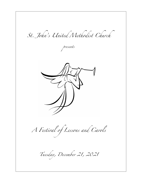*St. John's United Methodist Church*

*presents*



*A Festival of Lessons and Carols*

*Tuesday, December 21, 2021*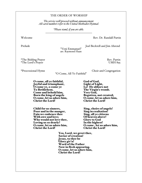#### THE ORDER OF WORSHIP

*The service will proceed without announcement. All carol numbers refer to the United Methodist Hymnal.*

> *\*Please stand, if you are able. \_\_\_\_\_\_\_\_\_\_\_\_\_\_\_\_\_\_\_\_\_\_\_\_\_\_\_\_\_\_\_\_\_\_\_\_*

Welcome **Rev. Dr. Randall Partin** 

Prelude Joel Becktell and Jim Ahrend<br>
"Veni Emmanuel"

arr. Raymond Haan

\*The Bidding Prayer<br>
\*The Lord's Prayer Rev. Partin<br>
UMH 895 \*The Lord's Prayer

\*Processional Hymn Choir and Congregation

"O Come, All Ye Faithful"

O come, all ye faithful, God of God, Joyful and triumphant, Light of Light, O come ye, o come ye Lo! He abhors not<br>To Bethlehem. The Virgin's womb. O come, let us adore him,<br>Christ the Lord!

Child for us sinners,<br> **Poor and in the manger,** Sing in exultation! Poor and in the manger, Sing in exultation!<br>Fain we embrace thee Sing, all ye citizens Fain we embrace thee Sing, all ye citizer<br>With awe and love; Cheaven above! With awe and love; Of heaven above! Who would not love thee, Glory to God Loving us so dearly? In the highest! O come, let us adore him,<br>Christ the Lord!

Come and behold him,  $Very God,$ <br>Born the king of angels Begotten, not created;<br>O come, let us adore him,  $O$  come, let us adore him, Christ the Lord!

Christ the Lord!

Yea, Lord, we greet thee, Savior of creation! Jesus, to thee be Glory giv'n! Word of the Father Now in flesh appearing. O come, let us adore him, Christ the Lord!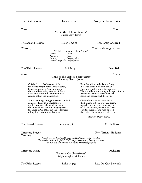| The First Lesson                                                                                                                                                                                                                                    | Isaiah II:1-9                                                                                                                                                                                                    | Norlynn Blocker Price                                                                                                                                                                                                                             |  |
|-----------------------------------------------------------------------------------------------------------------------------------------------------------------------------------------------------------------------------------------------------|------------------------------------------------------------------------------------------------------------------------------------------------------------------------------------------------------------------|---------------------------------------------------------------------------------------------------------------------------------------------------------------------------------------------------------------------------------------------------|--|
| Carol                                                                                                                                                                                                                                               | "Amid the Cold of Winter"<br><b>Taylor Scott Davis</b>                                                                                                                                                           | Choir                                                                                                                                                                                                                                             |  |
| The Second Lesson                                                                                                                                                                                                                                   | $Isaiah$ 40:1-11                                                                                                                                                                                                 | Rev. Craig Cockrell                                                                                                                                                                                                                               |  |
| *Carol 233                                                                                                                                                                                                                                          | "Cold December Flies Away"<br>Choir<br>Stanza 1:<br>Choir<br>Stanza 2:<br>Congregation<br>Stanza 3:<br>Stanza I (repeat): Congregation                                                                           | Choir and Congregation                                                                                                                                                                                                                            |  |
| The Third Lesson                                                                                                                                                                                                                                    | Isaiah 53                                                                                                                                                                                                        | Dara Bell                                                                                                                                                                                                                                         |  |
| Carol                                                                                                                                                                                                                                               | "Child of the Stable's Secret Birth"<br><b>Timothy Hewitt-Jones</b>                                                                                                                                              | Choir                                                                                                                                                                                                                                             |  |
| Child of the stable's secret birth,<br>the Lord by right of the lords of earth,<br>let angels sing of a King new born,<br>the world is weaving a crown of thorn:<br>a crown of thorn for that infant head<br>cradled soft in the manger bed.        |                                                                                                                                                                                                                  | Eyes that shine in the lantern's ray,<br>A face so small in its nest of hay,<br>Face of a child who was born to scan<br>The world he made through the eyes of man:<br>And from that face in the final day<br>Earth and heaven shall flee away.    |  |
| Voice that rang through the courts on high<br>contracted now to a wordless cry,<br>a voice to master the wind and wave,<br>the human heart and the hungry grave:<br>the voice of God through the cedar trees<br>rolling forth as the sound of seas. |                                                                                                                                                                                                                  | Child of the stable's secret birth,<br>the Father's gift to a wayward earth,<br>to drain the cup in a few short years<br>of all our sorrows, our sins and tears;<br>ours the prize for the road he trod:<br>risen with Christ; at peace with God. |  |
|                                                                                                                                                                                                                                                     |                                                                                                                                                                                                                  | (Timothy Dudley-Smith)                                                                                                                                                                                                                            |  |
| The Fourth Lesson                                                                                                                                                                                                                                   | Luke $1:26-38$                                                                                                                                                                                                   | Carrie Eaton                                                                                                                                                                                                                                      |  |
| <b>Offertory Prayer</b><br>Offering                                                                                                                                                                                                                 | Today's offering benefits Albuquerque Healthcare for the Homeless.<br>Please write checks to St. John's UMC, or go to musicatstjohns.org to donate.<br>You may also scan the QR code on the back of the program. | Rev. Tiffany Hollums                                                                                                                                                                                                                              |  |
| <b>Offertory Music</b>                                                                                                                                                                                                                              | "Fantasia On Greensleeves"<br>Ralph Vaughan Williams                                                                                                                                                             | Orchestra                                                                                                                                                                                                                                         |  |
| The Fifth Lesson                                                                                                                                                                                                                                    | Luke 1:39-56                                                                                                                                                                                                     | Rev. Dr. Carl Schenck                                                                                                                                                                                                                             |  |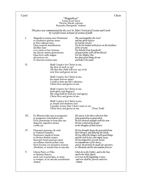#### Carol Choir

#### "Magnificat"<br>Taylor Scott Davis Therese Macali, soprano Ruxandra Marquardt, violinist

# *This piece was commissioned for the 2016 St. John's Festival of Lessons and Carols by Carolyn Good, in honor of women of faith.*

I. Magnificat anima mea Dominum *My soul magnifies the Lord*<br>et exsultavit spiritus meus *and my spirit rejoices* et exsultavit spiritus meus *and my spirit rejoi*n<br>in Deo salutari meo. *in God my Savior*. ancillae suae: *of his servant.* ecce enim ex hoc beatam *For behold: from henceforth*<br>me dicent omnes generations. *all generations will call me b* Quia fecit mihi magna qui potens est:<br>
et sanctum nomen ejus.<br> *and boly is his name*. et sanctum nomen ejus. *and holy is his name.*

Quia respexit humilitatem *For he has looked with favor on the lowliness*<br>ancillae suae: *in God my Savior of his servant*. all generations will call me blessed.<br>For the Mighty One

II. Shall I rejoice for Christ in me, the first of such to say? All that this child will ever say or be now lives and grows in me.

> Shall I rejoice for Christ in me, his name forever mine?<br>I yield to him my life's identity; Christ lives and grows in me.

Shall I rejoice for Christ in me,<br>both glory and disgrace? My song shall be both joy and agony; Christ lives and grows in me.

Shall I rejoice for Christ in me, as clouds and shadows rise? I ponder scenes that I don't want to see.<br>Christ lives and grows in me. (Terry York) Christ lives and grows in me.

- III. Et Misericordia ejus in progenies *His mercy is for those who fear him* et progenies timentibus eum.<br>**Fecit potentiam in bracchio suo** dispersit superbos mente<br>cordis sui.
- IV. Deposuit potentes de sede *He has brought down the powerful from*<br>
et exaltavit humiles. *their thrones, and lifted up the lowly*.<br>
Esurientes implevit bonis *He has filled the hungry with good things*<br>
et divites dimi et divites dimisit inanes. *and the rich he has sent empty away.* Frecord at use is extending the sum *in remembrance of his mercy*,<br>Sicut locutus est ad patres nostros and of the promise he made of

V. Gloria Patri, et Filio, *Glory be to the Father, and to the Son,* et Spiritui Sancto, *and to the Holy Spirit,* sicut erat in principio, et nunc, *as it was in the beginning, is now,* et semper, et in saecula seaculorum *and ever shall be, forever and ever.* Amen. *Amen.*

Fecit potentiam in bracchio suo *He has showed strength with his arm.* in the thoughts of their hearts.

Sicut locutus est ad patres nostros *and of the promise he made our ancestors,*<br>Abraham, et semini eius in saecula. *to Abraham and his descendants forever*. to Abraham and his descendants forever.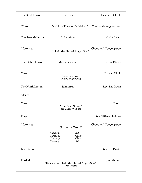| The Sixth Lesson   | Luke $2:1-7$                                                                                           | Heather Pickrell        |
|--------------------|--------------------------------------------------------------------------------------------------------|-------------------------|
| *Carol 230         | "O Little Town of Bethlehem"                                                                           | Choir and Congregation  |
| The Seventh Lesson | Luke 2:8-20                                                                                            | Colin Barz              |
| *Carol 240         | "Hark! the Herald Angels Sing"                                                                         | Choirs and Congregation |
| The Eighth Lesson  | Matthew 2:1-12                                                                                         | Gina Rivera             |
| Carol              | "Sussex Carol"<br>Elaine Hagenberg                                                                     | Chancel Choir           |
| The Ninth Lesson   | John $1:1-14$                                                                                          | Rev. Dr. Partin         |
| Silence            |                                                                                                        |                         |
| Carol              | "The First Nowell"<br>arr. Mack Wilberg                                                                | Choir                   |
| Prayer             |                                                                                                        | Rev. Tiffany Hollums    |
| *Carol 246         | "Joy to the World"<br>All<br>Stanza 1:<br>Choir<br>Stanza 2:<br>Choir<br>Stanza 3:<br>All<br>Stanza 4: | Choirs and Congregation |
| Benediction        |                                                                                                        | Rev. Dr. Partin         |
| Postlude           | Toccata on "Hark! the Herald Angels Sing"<br>Don Hustad                                                | Jim Ahrend              |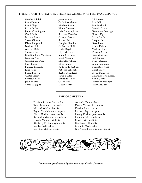#### THE ST. JOHN'S CHANCEL CHOIR and CHRISTMAS FESTIVAL CHORUS

Natalie Adolphi Johanna Ash Jill Aubrey David Barton Carla Beauchamp Ray Bell Dee Billops Marlene Bryan Larry Butler **Rhoni Coleman** Beverly Crane James Cunningham Leia Cunningham Genevieve Davidge Carol Dolan Suzanne Dressler Norma Dye Marene Evans Carolyn Freese Sarah Garde Susan Gibson Shane Hall Joseph Harb Diane Helgevold Douglas Hendry Dave Holt Nadine Holt Catharine Hull Arana Kalwaic AnaLuz Kohl Leslie Kryder Madison Link Suzanne Lutz Lily Lybarger Therese Macali Caroline Rohr Martinek Viola Martinez Stan Mortimer Cynthia Noe Janet Norden Jack Nuzum Christopher Ober Michelle Palmer Tina Petersen Sue Phelps Ellen Raimer Laura Rammage Barbara Reeback Kathryn Ritterbush Todd Ritterbush Julie Rohr Rebecca Schenck Carol Sharp Susan Spaven Barbara Stanfield Clyde Stanfield Curtis Storm Katie Taylor Rhiannon Thompson Bethany Trice Meredith Trice Karin Urban John Warns Grace Wei Lavern Wenninger Carol Wiggins Diann Zentner Larry Zentner

#### THE ORCHESTRA

Danielle Frabutt Garcia, flutist Amanda Talley, oboist Keith Lemmons, clarinetist Denise Turner, bassoonist Michael Walker, hornist Katelyn Lewis, hornist Brynn Marchiando, trumpeter Leif Atchley, trumpeter Alexis Corbin, percussionist Hovey Corbin, percussionist Ruxandra Marquardt, violinist Hannah Price, violinist Nicolle Maniaci, violinist Carol Swift, violinist Kimberly Fredenburgh, violist Kathleen Hill, violist Joel Becktell, cellist Melinda Mack, cellist

Jean-Luc Matton, bassist Jim Ahrend, organist and pianist



Livestream production by the amazing Nicole Creaturo.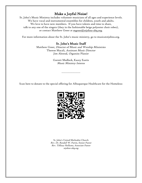**Make a Joyful Noise!**<br> St. John's Music Ministry includes volunteer musicians of all ages and experience levels. We have vocal and instrumental ensembles for children, youth and adults. We love to have new members. If you have talents and time to share, talk to any one of the singers (they in the fashionable beige polyester choir robes), or contact Matthew Greer at mgreer@stjohns-abq.org.

For more information about the St. John's music ministry, go to musicatstjohns.org.

### St. John's Music Staff

Matthew Greer, Director of Music and Worship Ministries Therese Macali, Assistant Music Director Jim Ahrend, Organist/Pianist

> Garrett Medlock, Kacey Eustis Music Ministry Interns

Scan here to donate to the special offering for Albuquerque Healthcare for the Homeless:

------------------------



St. John's United Methodist Church Rev. Dr. Randall W. Partin, Senior Pastor Rev. Tiffany Hollums, Associate Pastor stjohns-abq.org